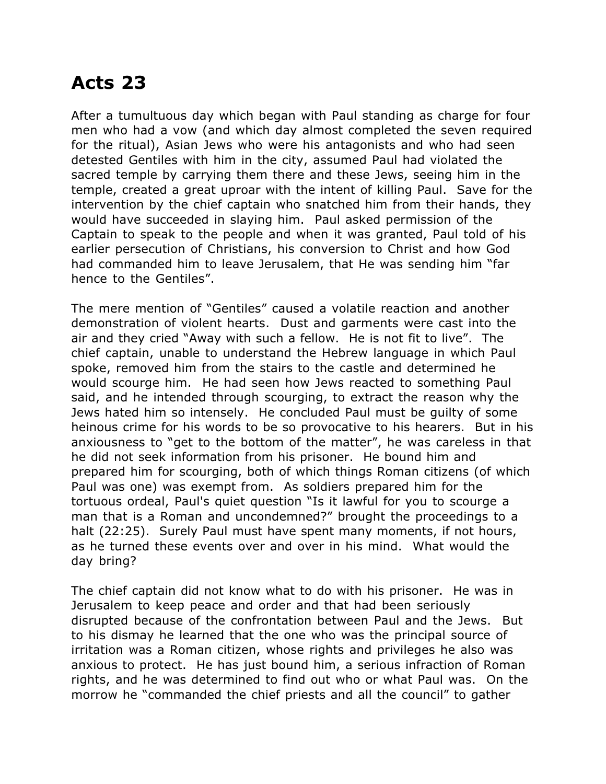## **Acts 23**

After a tumultuous day which began with Paul standing as charge for four men who had a vow (and which day almost completed the seven required for the ritual), Asian Jews who were his antagonists and who had seen detested Gentiles with him in the city, assumed Paul had violated the sacred temple by carrying them there and these Jews, seeing him in the temple, created a great uproar with the intent of killing Paul. Save for the intervention by the chief captain who snatched him from their hands, they would have succeeded in slaying him. Paul asked permission of the Captain to speak to the people and when it was granted, Paul told of his earlier persecution of Christians, his conversion to Christ and how God had commanded him to leave Jerusalem, that He was sending him "far hence to the Gentiles".

The mere mention of "Gentiles" caused a volatile reaction and another demonstration of violent hearts. Dust and garments were cast into the air and they cried "Away with such a fellow. He is not fit to live". The chief captain, unable to understand the Hebrew language in which Paul spoke, removed him from the stairs to the castle and determined he would scourge him. He had seen how Jews reacted to something Paul said, and he intended through scourging, to extract the reason why the Jews hated him so intensely. He concluded Paul must be guilty of some heinous crime for his words to be so provocative to his hearers. But in his anxiousness to "get to the bottom of the matter", he was careless in that he did not seek information from his prisoner. He bound him and prepared him for scourging, both of which things Roman citizens (of which Paul was one) was exempt from. As soldiers prepared him for the tortuous ordeal, Paul's quiet question "Is it lawful for you to scourge a man that is a Roman and uncondemned?" brought the proceedings to a halt (22:25). Surely Paul must have spent many moments, if not hours, as he turned these events over and over in his mind. What would the day bring?

The chief captain did not know what to do with his prisoner. He was in Jerusalem to keep peace and order and that had been seriously disrupted because of the confrontation between Paul and the Jews. But to his dismay he learned that the one who was the principal source of irritation was a Roman citizen, whose rights and privileges he also was anxious to protect. He has just bound him, a serious infraction of Roman rights, and he was determined to find out who or what Paul was. On the morrow he "commanded the chief priests and all the council" to gather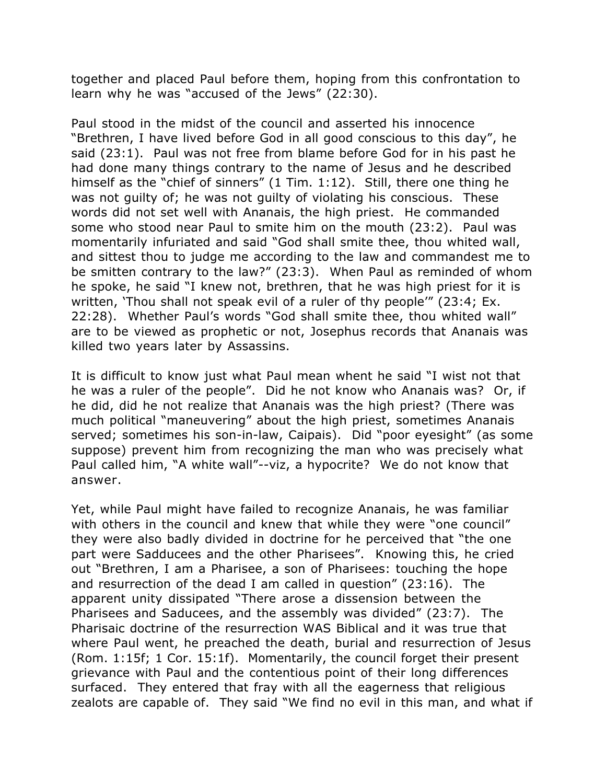together and placed Paul before them, hoping from this confrontation to learn why he was "accused of the Jews" (22:30).

Paul stood in the midst of the council and asserted his innocence "Brethren, I have lived before God in all good conscious to this day", he said (23:1). Paul was not free from blame before God for in his past he had done many things contrary to the name of Jesus and he described himself as the "chief of sinners" (1 Tim. 1:12). Still, there one thing he was not guilty of; he was not guilty of violating his conscious. These words did not set well with Ananais, the high priest. He commanded some who stood near Paul to smite him on the mouth (23:2). Paul was momentarily infuriated and said "God shall smite thee, thou whited wall, and sittest thou to judge me according to the law and commandest me to be smitten contrary to the law?" (23:3). When Paul as reminded of whom he spoke, he said "I knew not, brethren, that he was high priest for it is written, 'Thou shall not speak evil of a ruler of thy people'" (23:4; Ex. 22:28). Whether Paul's words "God shall smite thee, thou whited wall" are to be viewed as prophetic or not, Josephus records that Ananais was killed two years later by Assassins.

It is difficult to know just what Paul mean whent he said "I wist not that he was a ruler of the people". Did he not know who Ananais was? Or, if he did, did he not realize that Ananais was the high priest? (There was much political "maneuvering" about the high priest, sometimes Ananais served; sometimes his son-in-law, Caipais). Did "poor eyesight" (as some suppose) prevent him from recognizing the man who was precisely what Paul called him, "A white wall"--viz, a hypocrite? We do not know that answer.

Yet, while Paul might have failed to recognize Ananais, he was familiar with others in the council and knew that while they were "one council" they were also badly divided in doctrine for he perceived that "the one part were Sadducees and the other Pharisees". Knowing this, he cried out "Brethren, I am a Pharisee, a son of Pharisees: touching the hope and resurrection of the dead I am called in question" (23:16). The apparent unity dissipated "There arose a dissension between the Pharisees and Saducees, and the assembly was divided" (23:7). The Pharisaic doctrine of the resurrection WAS Biblical and it was true that where Paul went, he preached the death, burial and resurrection of Jesus (Rom. 1:15f; 1 Cor. 15:1f). Momentarily, the council forget their present grievance with Paul and the contentious point of their long differences surfaced. They entered that fray with all the eagerness that religious zealots are capable of. They said "We find no evil in this man, and what if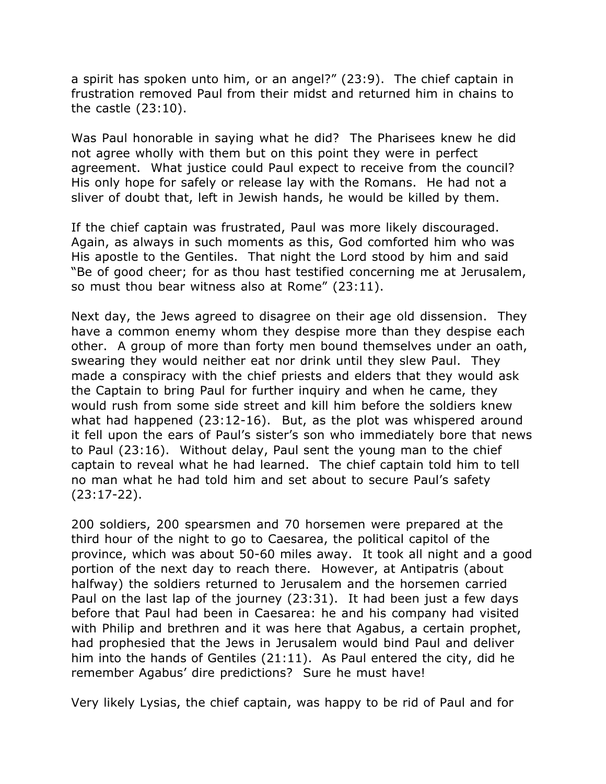a spirit has spoken unto him, or an angel?" (23:9). The chief captain in frustration removed Paul from their midst and returned him in chains to the castle (23:10).

Was Paul honorable in saying what he did? The Pharisees knew he did not agree wholly with them but on this point they were in perfect agreement. What justice could Paul expect to receive from the council? His only hope for safely or release lay with the Romans. He had not a sliver of doubt that, left in Jewish hands, he would be killed by them.

If the chief captain was frustrated, Paul was more likely discouraged. Again, as always in such moments as this, God comforted him who was His apostle to the Gentiles. That night the Lord stood by him and said "Be of good cheer; for as thou hast testified concerning me at Jerusalem, so must thou bear witness also at Rome" (23:11).

Next day, the Jews agreed to disagree on their age old dissension. They have a common enemy whom they despise more than they despise each other. A group of more than forty men bound themselves under an oath, swearing they would neither eat nor drink until they slew Paul. They made a conspiracy with the chief priests and elders that they would ask the Captain to bring Paul for further inquiry and when he came, they would rush from some side street and kill him before the soldiers knew what had happened (23:12-16). But, as the plot was whispered around it fell upon the ears of Paul's sister's son who immediately bore that news to Paul (23:16). Without delay, Paul sent the young man to the chief captain to reveal what he had learned. The chief captain told him to tell no man what he had told him and set about to secure Paul's safety (23:17-22).

200 soldiers, 200 spearsmen and 70 horsemen were prepared at the third hour of the night to go to Caesarea, the political capitol of the province, which was about 50-60 miles away. It took all night and a good portion of the next day to reach there. However, at Antipatris (about halfway) the soldiers returned to Jerusalem and the horsemen carried Paul on the last lap of the journey (23:31). It had been just a few days before that Paul had been in Caesarea: he and his company had visited with Philip and brethren and it was here that Agabus, a certain prophet, had prophesied that the Jews in Jerusalem would bind Paul and deliver him into the hands of Gentiles (21:11). As Paul entered the city, did he remember Agabus' dire predictions? Sure he must have!

Very likely Lysias, the chief captain, was happy to be rid of Paul and for